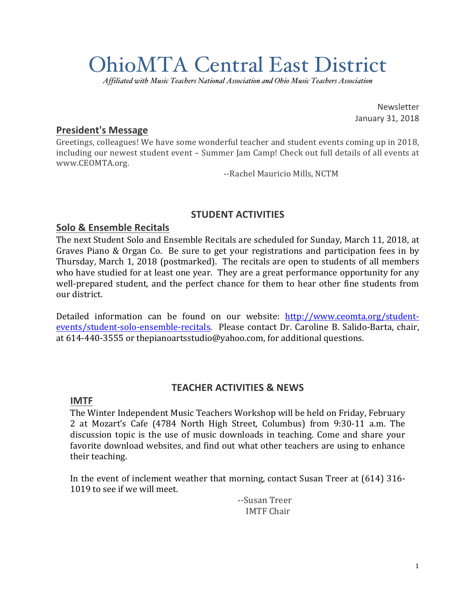# OhioMTA Central East District

*Affiliated with Music Teachers National Association and Ohio Music Teachers Association*

Newsletter January 31, 2018

## **President's Message**

Greetings, colleagues! We have some wonderful teacher and student events coming up in 2018, including our newest student event - Summer Jam Camp! Check out full details of all events at www.CEOMTA.org.

--Rachel Mauricio Mills, NCTM

## **STUDENT ACTIVITIES**

## **Solo & Ensemble Recitals**

The next Student Solo and Ensemble Recitals are scheduled for Sunday, March 11, 2018, at Graves Piano & Organ Co. Be sure to get your registrations and participation fees in by Thursday, March 1, 2018 (postmarked). The recitals are open to students of all members who have studied for at least one year. They are a great performance opportunity for any well-prepared student, and the perfect chance for them to hear other fine students from our district.

Detailed information can be found on our website: http://www.ceomta.org/studentevents/student-solo-ensemble-recitals. Please contact Dr. Caroline B. Salido-Barta, chair, at  $614-440-3555$  or thepianoartsstudio@yahoo.com, for additional questions.

## **TEACHER ACTIVITIES & NEWS**

## **IMTF**

The Winter Independent Music Teachers Workshop will be held on Friday, February 2 at Mozart's Cafe (4784 North High Street, Columbus) from 9:30-11 a.m. The discussion topic is the use of music downloads in teaching. Come and share your favorite download websites, and find out what other teachers are using to enhance their teaching.

In the event of inclement weather that morning, contact Susan Treer at (614) 316- 1019 to see if we will meet.

--Susan Treer IMTF Chair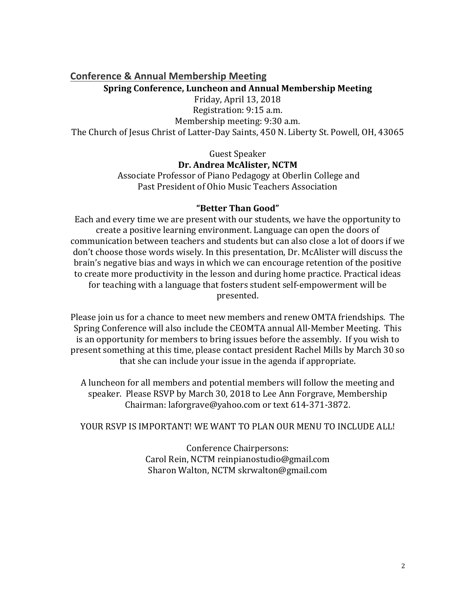# **Conference & Annual Membership Meeting Spring Conference, Luncheon and Annual Membership Meeting**

Friday, April 13, 2018 Registration: 9:15 a.m.

Membership meeting: 9:30 a.m. The Church of Jesus Christ of Latter-Day Saints, 450 N. Liberty St. Powell, OH, 43065

Guest Speaker

**Dr. Andrea McAlister, NCTM**

Associate Professor of Piano Pedagogy at Oberlin College and Past President of Ohio Music Teachers Association

## **"Better Than Good"**

Each and every time we are present with our students, we have the opportunity to create a positive learning environment. Language can open the doors of communication between teachers and students but can also close a lot of doors if we don't choose those words wisely. In this presentation, Dr. McAlister will discuss the brain's negative bias and ways in which we can encourage retention of the positive to create more productivity in the lesson and during home practice. Practical ideas for teaching with a language that fosters student self-empowerment will be presented.

Please join us for a chance to meet new members and renew OMTA friendships. The Spring Conference will also include the CEOMTA annual All-Member Meeting. This is an opportunity for members to bring issues before the assembly. If you wish to present something at this time, please contact president Rachel Mills by March 30 so that she can include your issue in the agenda if appropriate.

A luncheon for all members and potential members will follow the meeting and speaker. Please RSVP by March 30, 2018 to Lee Ann Forgrave, Membership Chairman: laforgrave@yahoo.com or text 614-371-3872.

## YOUR RSVP IS IMPORTANT! WE WANT TO PLAN OUR MENU TO INCLUDE ALL!

Conference Chairpersons: Carol Rein, NCTM reinpianostudio@gmail.com Sharon Walton, NCTM skrwalton@gmail.com